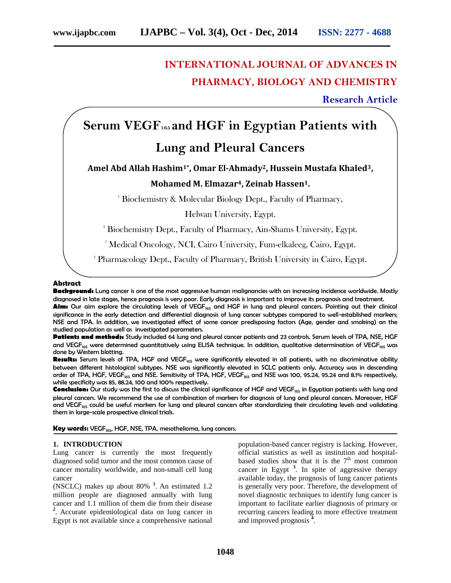# **INTERNATIONAL JOURNAL OF ADVANCES IN PHARMACY, BIOLOGY AND CHEMISTRY**

**Research Article**

# **Serum VEGF<sup>165</sup> and HGF in Egyptian Patients with Lung and Pleural Cancers**

**Amel Abd Allah Hashim1\*, Omar El-Ahmady2, Hussein Mustafa Khaled3,**

# **Mohamed M. Elmazar4, Zeinab Hassen1.**

<sup>1</sup> Biochemistry & Molecular Biology Dept., Faculty of Pharmacy,

Helwan University, Egypt.

<sup>2</sup> Biochemistry Dept., Faculty of Pharmacy, Ain-Shams University, Egypt.

<sup>3</sup> Medical Oncology, NCI, Cairo University, Fum-elkaleeg, Cairo, Egypt.

<sup>4</sup> Pharmacology Dept., Faculty of Pharmacy, British University in Cairo, Egypt.

#### **Abstract**

**Background:** Lung cancer is one of the most aggressive human malignancies with an increasing incidence worldwide. Mostly diagnosed in late stages, hence prognosis is very poor. Early diagnosis is important to improve its prognosis and treatment.

Aim: Our aim explore the circulating levels of VEGF<sub>165</sub> and HGF in lung and pleural cancers. Pointing out their clinical significance in the early detection and differential diagnosis of lung cancer subtypes compared to well-established markers; NSE and TPA. In addition, we investigated effect of some cancer predisposing factors (Age, gender and smoking) on the studied population as well as investigated parameters.

**Patients and methods:** Study included 64 lung and pleural cancer patients and 23 controls. Serum levels of TPA, NSE, HGF and VEGF<sub>165</sub> were determined quantitatively using ELISA technique. In addition, qualitative determination of VEGF<sub>165</sub> was done by Western blotting.

Results: Serum levels of TPA, HGF and VEGF<sub>165</sub> were significantly elevated in all patients, with no discriminative ability between different histological subtypes. NSE was significantly elevated in SCLC patients only. Accuracy was in descending order of TPA, HGF, VEGF<sub>165</sub> and NSE. Sensitivity of TPA, HGF, VEGF<sub>165</sub> and NSE was 100, 95.24, 95.24 and 8.1% respectively, while specificity was 85, 88.24, 100 and 100% respectively.

**Conclusion:** Our study was the first to discuss the clinical significance of HGF and VEGF<sub>165</sub> in Egyptian patients with lung and pleural cancers. We recommend the use of combination of markers for diagnosis of lung and pleural cancers. Moreover, HGF and VEGF<sub>165</sub> could be useful markers for lung and pleural cancers after standardizing their circulating levels and validating them in large-scale prospective clinical trials.

**Key words:** VEGF<sub>165</sub>, HGF, NSE, TPA, mesothelioma, lung cancers.

#### **1. INTRODUCTION**

Lung cancer is currently the most frequently diagnosed solid tumor and the most common cause of cancer mortality worldwide, and non-small cell lung cancer

(NSCLC) makes up about 80% **1** . An estimated 1.2 million people are diagnosed annually with lung cancer and 1.1 million of them die from their disease <sup>2</sup>. Accurate epidemiological data on lung cancer in Egypt is not available since a comprehensive national

population-based cancer registry is lacking. However, official statistics as well as institution and hospital based studies show that it is the  $7<sup>th</sup>$  most common cancer in Egypt **<sup>3</sup>** . In spite of aggressive therapy available today, the prognosis of lung cancer patients is generally very poor. Therefore, the development of novel diagnostic techniques to identify lung cancer is important to facilitate earlier diagnosis of primary or recurring cancers leading to more effective treatment and improved prognosis **<sup>4</sup>** .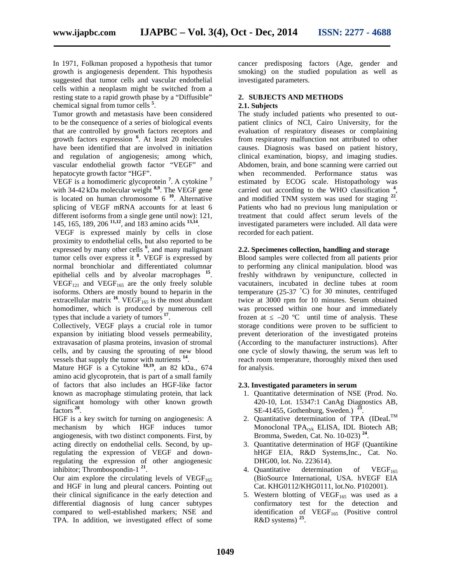In 1971, Folkman proposed a hypothesis that tumor growth is angiogenesis dependent. This hypothesis suggested that tumor cells and vascular endothelial cells within a neoplasm might be switched from a resting state to a rapid growth phase by a "Diffusible" chemical signal from tumor cells **<sup>5</sup>** .

Tumor growth and metastasis have been considered to be the consequence of a series of biological events that are controlled by growth factors receptors and growth factors expression **<sup>6</sup>** . At least 20 molecules have been identified that are involved in initiation and regulation of angiogenesis; among which, vascular endothelial growth factor "VEGF" and hepatocyte growth factor "HGF".

VEGF is a homodimeric glycoprotein **<sup>7</sup>** . A cytokine **<sup>7</sup>** with 34-42 kDa molecular weight **8,9** . The VEGF gene is located on human chromosome 6 **<sup>10</sup>**. Alternative splicing of VEGF mRNA accounts for at least 6 different isoforms from a single gene until now): 121, 145, 165, 189, 206 **11,12** , and 183 amino acids **13,14** .

VEGF is expressed mainly by cells in close proximity to endothelial cells, but also reported to be expressed by many other cells **<sup>6</sup>** , and many malignant tumor cells over express it **<sup>8</sup>** . VEGF is expressed by normal bronchiolar and differentiated columnar epithelial cells and by alveolar macrophages **<sup>15</sup>** .  $VEGF<sub>121</sub>$  and  $VEGF<sub>165</sub>$  are the only freely soluble isoforms. Others are mostly bound to heparin in the extracellular matrix  $^{16}$ . VEGF<sub>165</sub> is the most abundant homodimer, which is produced by numerous cell types that include a variety of tumors **<sup>17</sup>** .

Collectively, VEGF plays a crucial role in tumor expansion by initiating blood vessels permeability, extravasation of plasma proteins, invasion of stromal cells, and by causing the sprouting of new blood vessels that supply the tumor with nutrients **<sup>14</sup>** .

Mature HGF is a Cytokine **18,19**, an 82 kDa., 674 amino acid glycoprotein, that is part of a small family of factors that also includes an HGF-like factor known as macrophage stimulating protein, that lack significant homology with other known growth factors **<sup>20</sup>** .

HGF is a key switch for turning on angiogenesis: A mechanism by which HGF induces tumor angiogenesis, with two distinct components. First, by acting directly on endothelial cells. Second, by upregulating the expression of VEGF and downregulating the expression of other angiogenesic inhibitor; Thrombospondin-1 **21** .

Our aim explore the circulating levels of  $VEGF<sub>165</sub>$ and HGF in lung and pleural cancers. Pointing out their clinical significance in the early detection and differential diagnosis of lung cancer subtypes compared to well-established markers; NSE and TPA. In addition, we investigated effect of some cancer predisposing factors (Age, gender and smoking) on the studied population as well as investigated parameters.

#### **2. SUBJECTS AND METHODS 2.1. Subjects**

The study included patients who presented to out patient clinics of NCI, Cairo University, for the evaluation of respiratory diseases or complaining from respiratory malfunction not attributed to other causes. Diagnosis was based on patient history, clinical examination, biopsy, and imaging studies. Abdomen, brain, and bone scanning were carried out when recommended. Performance status was estimated by ECOG scale. Histopathology was carried out according to the WHO classification **<sup>4</sup>** , and modified TNM system was used for staging **<sup>22</sup>** . Patients who had no previous lung manipulation or treatment that could affect serum levels of the investigated parameters were included. All data were recorded for each patient.

#### **2.2. Specimenes collection, handling and storage**

Blood samples were collected from all patients prior to performing any clinical manipulation. blood was freshly withdrawn by venipuncture, collected in vacutainers, incubated in decline tubes at room temperature (25-37 ˚C) for 30 minutes, centrifuged twice at 3000 rpm for 10 minutes. Serum obtained was processed within one hour and immediately frozen at  $-20$  °C until time of analysis. These storage conditions were proven to be sufficient to prevent deterioration of the investigated proteins (According to the manufacturer instructions). After one cycle of slowly thawing, the serum was left to reach room temperature, thoroughly mixed then used for analysis.

# **2.3. Investigated parameters in serum**

- 1. Quantitative determination of NSE (Prod. No. 420-10, Lot. 15347:1 CanAg Diagnostics AB, SE-41455, Gothenburg, Sweden.) **<sup>23</sup>** .
- 2. Quantitative determination of TPA  $(ID$ <sub>caL</sub>TM Monoclonal TPA<sub>cyk</sub> ELISA, IDL Biotech AB; Bromma, Sweden, Cat. No. 10-023) **<sup>24</sup>** .
- 3. Quantitative determination of HGF (Quantikine hHGF EIA, R&D Systems,Inc., Cat. No. DHG00, lot. No. 223614).
- 4. Quantitative determination of  $VEGF<sub>165</sub>$ (BioSource International, USA. hVEGF EIA Cat. KHG0112/KHG0111, lot.No. P102001).
- 5. Western blotting of  $VEGF<sub>165</sub>$  was used as a confirmatory test for the detection and identification of  $VEGF<sub>165</sub>$  (Positive control R&D systems) **<sup>25</sup>** .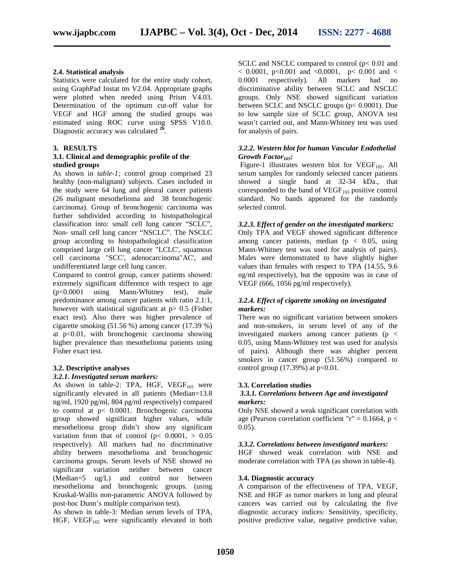#### **2.4. Statistical analysis**

Statistics were calculated for the entire study cohort, using GraphPad Instat tm V2.04. Appropriate graphs were plotted when needed using Prism V4.03. Determination of the optimum cut-off value for VEGF and HGF among the studied groups was estimated using ROC curve using SPSS V10.0. Diagnostic accuracy was calculated **<sup>26</sup>** .

#### **3. RESULTS**

#### **3.1. Clinical and demographic profile of the studied groups**

As shown in *table-1;* control group comprised 23 healthy (non-malignant) subjects. Cases included in the study were 64 lung and pleural cancer patients (26 malignant mesothelioma and 38 bronchogenic carcinoma). Group of bronchogenic carcinoma was further subdivided according to histopathological classification into: small cell lung cancer "SCLC", Non- small cell lung cancer "NSCLC". The NSCLC group according to histopathological classification comprised large cell lung cancer "LCLC', squamous cell carcinoma "SCC', adenocarcinoma"AC', and undifferentiated large cell lung cancer.

Compared to control group, cancer patients showed: extremely significant difference with respect to age (p<0.0001 using Mann-Whitney test), male predominance among cancer patients with ratio 2.1:1, however with statistical significant at  $p > 0.5$  (Fisher exact test). Also there was higher prevalence of cigarette smoking (51.56 %) among cancer (17.39 %) at  $p<0.01$ , with bronchogenic carcinoma showing higher prevalence than mesothelioma patients using Fisher exact test.

# **3.2. Descriptive analyses**

#### *3.2.1. Investigated serum markers:*

As shown in table-2: TPA, HGF,  $VEGF<sub>165</sub>$  were significantly elevated in all patients (Median=13.8 ng/ml, 1920 pg/ml, 804 pg/ml respectively) compared to control at p< 0.0001. Bronchogenic carcinoma group showed significant higher values, while mesothelioma group didn't show any significant variation from that of control ( $p < 0.0001$ ,  $> 0.05$ ) respectively). All markers had no discriminative ability between mesothelioma and bronchogenic carcinoma groups. Serum levels of NSE showed no significant variation neither between cancer (Median=5 ug/L) and control nor between mesothelioma and bronchogenic groups. (using Kruskal-Wallis non-parametric ANOVA followed by post-hoc Dunn's multiple comparison test).

As shown in table-3: Median serum levels of TPA, HGF, VEGF<sub>165</sub> were significantly elevated in both SCLC and NSCLC compared to control ( $p$ < 0.01 and  $< 0.0001$ , p $< 0.001$  and  $< 0.0001$ , p $< 0.001$  and  $<$ 0.0001 respectively). All markers had no discriminative ability between SCLC and NSCLC groups. Only NSE showed significant variation between SCLC and NSCLC groups (p< 0.0001). Due to low sample size of SCLC group, ANOVA test wasn't carried out, and Mann-Whitney test was used for analysis of pairs.

#### *3.2.2. Western blot for human Vascular Endothelial Growth Factor165:*

Figure-1 illustrates western blot for  $VEGF<sub>165</sub>$ . All serum samples for randomly selected cancer patients showed a single band at 32-34 kDa., that corresponded to the band of  $VEGF<sub>165</sub>$  positive control standard. No bands appeared for the randomly selected control.

#### *3.2.3. Effect of gender on the investigated markers:*

Only TPA and VEGF showed significant difference among cancer patients, median ( $p < 0.05$ , using Mann-Whitney test was used for analysis of pairs). Males were demonstrated to have slightly higher values than females with respect to TPA (14.55, 9.6 ng/ml respectively), but the opposite was in case of VEGF (666, 1056 pg/ml respectively).

#### *3.2.4. Effect of cigarette smoking on investigated markers:*

There was no significant variation between smokers and non-smokers, in serum level of any of the investigated markers among cancer patients ( $p <$ 0.05, using Mann-Whitney test was used for analysis of pairs). Although there was ahigher percent smokers in cancer group (51.56%) compared to control group  $(17.39\%)$  at  $p<0.01$ .

# **3.3. Correlation studies**

#### *3.3.1. Correlations between Age and investigated markers:*

Only NSE showed a weak significant correlation with age (Pearson correlation coefficient "r" =  $0.1664$ , p <  $0.05$ ).

#### *3.3.2. Correlations between investigated markers:*

HGF showed weak correlation with NSE and moderate correlation with TPA (as shown in table-4).

#### **3.4. Diagnostic accuracy**

A comparison of the effectiveness of TPA, VEGF, NSE and HGF as tumor markers in lung and pleural cancers was carried out by calculating the five diagnostic accuracy indices: Sensitivity, specificity, positive predictive value, negative predictive value,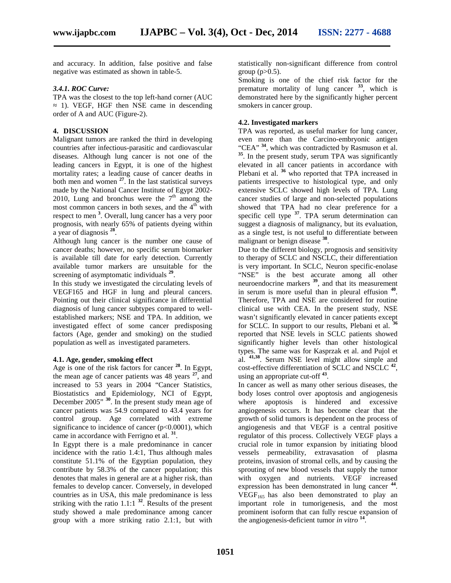and accuracy. In addition, false positive and false negative was estimated as shown in table-5.

#### *3.4.1. ROC Curve:*

TPA was the closest to the top left-hand corner (AUC 1). VEGF, HGF then NSE came in descending order of A and AUC (Figure-2).

#### **4. DISCUSSION**

Malignant tumors are ranked the third in developing countries after infectious-parasitic and cardiovascular diseases. Although lung cancer is not one of the leading cancers in Egypt, it is one of the highest mortality rates; a leading cause of cancer deaths in both men and women **<sup>27</sup>**. In the last statistical surveys made by the National Cancer Institute of Egypt 2002- 2010, Lung and bronchus were the  $7<sup>th</sup>$  among the most common cancers in both sexes, and the  $4<sup>th</sup>$  with respect to men **<sup>3</sup>** . Overall, lung cancer has a very poor prognosis, with nearly 65% of patients dyeing within a year of diagnosis **<sup>28</sup>** .

Although lung cancer is the number one cause of cancer deaths; however, no specific serum biomarker is available till date for early detection. Currently available tumor markers are unsuitable for the screening of asymptomatic individuals **<sup>29</sup>** .

In this study we investigated the circulating levels of VEGF165 and HGF in lung and pleural cancers. Pointing out their clinical significance in differential diagnosis of lung cancer subtypes compared to well established markers; NSE and TPA. In addition, we investigated effect of some cancer predisposing factors (Age, gender and smoking) on the studied population as well as investigated parameters.

#### **4.1. Age, gender, smoking effect**

Age is one of the risk factors for cancer **<sup>28</sup>**. In Egypt, the mean age of cancer patients was 48 years **<sup>27</sup>**, and increased to 53 years in 2004 "Cancer Statistics, Biostatistics and Epidemiology, NCI of Egypt, December 2005" **<sup>30</sup>**. In the present study mean age of cancer patients was 54.9 compared to 43.4 years for control group. Age correlated with extreme significance to incidence of cancer ( $p<0.0001$ ), which came in accordance with Ferrigno et al. **<sup>31</sup>** .

In Egypt there is a male predominance in cancer incidence with the ratio 1.4:1, Thus although males constitute 51.1% of the Egyptian population, they contribute by 58.3% of the cancer population; this denotes that males in general are at a higher risk, than females to develop cancer. Conversely, in developed countries as in USA, this male predominance is less striking with the ratio  $1.1:1^{32}$ . Results of the present study showed a male predominance among cancer group with a more striking ratio 2.1:1, but with

statistically non-significant difference from control group  $(p>0.5)$ .

Smoking is one of the chief risk factor for the premature mortality of lung cancer **<sup>33</sup>** , which is demonstrated here by the significantly higher percent smokers in cancer group.

# **4.2. Investigated markers**

TPA was reported, as useful marker for lung cancer, even more than the Carcino-embryonic antigen "CEA" **<sup>34</sup>** , which was contradicted by Rasmuson et al. **35** . In the present study, serum TPA was significantly elevated in all cancer patients in accordance with Plebani et al. <sup>36</sup> who reported that TPA increased in patients irrespective to histological type, and only extensive SCLC showed high levels of TPA. Lung cancer studies of large and non-selected populations showed that TPA had no clear preference for a specific cell type **<sup>37</sup>** . TPA serum determination can suggest a diagnosis of malignancy, but its evaluation, as a single test, is not useful to differentiate between malignant or benign disease **<sup>38</sup>** .

Due to the different biology, prognosis and sensitivity to therapy of SCLC and NSCLC, their differentiation is very important. In SCLC, Neuron specific-enolase "NSE" is the best accurate among all other neuroendocrine markers **<sup>39</sup>** , and that its measurement in serum is more useful than in pleural effusion **<sup>40</sup>** . Therefore, TPA and NSE are considered for routine clinical use with CEA. In the present study, NSE wasn't significantly elevated in cancer patients except for SCLC. In support to our results, Plebani et al. **<sup>36</sup>** reported that NSE levels in SCLC patients showed significantly higher levels than other histological types. The same was for Kasprzak et al. and Pujol et al. **41,38** . Serum NSE level might allow simple and cost-effective differentiation of SCLC and NSCLC **<sup>42</sup>** , using an appropriate cut-off **<sup>43</sup>** .

In cancer as well as many other serious diseases, the body loses control over apoptosis and angiogenesis where apoptosis is hindered and excessive angiogenesis occurs. It has become clear that the growth of solid tumors is dependent on the process of angiogenesis and that VEGF is a central positive regulator of this process. Collectively VEGF plays a crucial role in tumor expansion by initiating blood vessels permeability, extravasation of plasma proteins, invasion of stromal cells, and by causing the sprouting of new blood vessels that supply the tumor with oxygen and nutrients. VEGF increased expression has been demonstrated in lung cancer **<sup>44</sup>** .  $VEGF<sub>165</sub>$  has also been demonstrated to play an important role in tumorigenesis, and the most prominent isoform that can fully rescue expansion of the angiogenesis-deficient tumor *in vitro* **<sup>14</sup>** .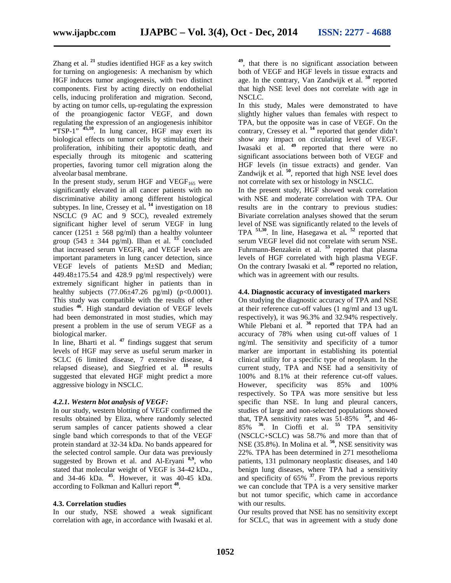Zhang et al. **<sup>21</sup>** studies identified HGF as a key switch for turning on angiogenesis: A mechanism by which HGF induces tumor angiogenesis, with two distinct components. First by acting directly on endothelial cells, inducing proliferation and migration. Second, by acting on tumor cells, up-regulating the expression of the proangiogenic factor VEGF, and down regulating the expression of an angiogenesis inhibitor **"**TSP-1" **45,10**. In lung cancer, HGF may exert its biological effects on tumor cells by stimulating their proliferation, inhibiting their apoptotic death, and especially through its mitogenic and scattering properties, favoring tumor cell migration along the alveolar basal membrane.

In the present study, serum HGF and  $VEGF<sub>165</sub>$  were significantly elevated in all cancer patients with no discriminative ability among different histological subtypes. In line, Cressey et al**. <sup>14</sup>** investigation on 18 NSCLC (9 AC and 9 SCC), revealed extremely significant higher level of serum VEGF in lung cancer (1251  $\pm$  568 pg/ml) than a healthy volunteer group (543  $\pm$  344 pg/ml). Ilhan et al. <sup>15</sup> concluded that increased serum  $VEGFR<sub>1</sub>$  and VEGF levels are important parameters in lung cancer detection, since VEGF levels of patients M±SD and Median;  $449.48 \pm 175.54$  and  $428.9$  pg/ml respectively) were extremely significant higher in patients than in healthy subjects  $(77.06 \pm 47.26 \text{ pg/ml})$   $(p<0.0001)$ . This study was compatible with the results of other studies **<sup>46</sup>** . High standard deviation of VEGF levels had been demonstrated in most studies, which may present a problem in the use of serum VEGF as a biological marker.

In line, Bharti et al. **<sup>47</sup>** findings suggest that serum levels of HGF may serve as useful serum marker in SCLC (6 limited disease, 7 extensive disease, 4 relapsed disease), and Siegfried et al. **<sup>18</sup>** results suggested that elevated HGF might predict a more aggressive biology in NSCLC.

#### *4.2.1. Western blot analysis of VEGF:*

In our study, western blotting of VEGF confirmed the results obtained by Eliza, where randomly selected serum samples of cancer patients showed a clear single band which corresponds to that of the VEGF protein standard at 32-34 kDa. No bands appeared for the selected control sample. Our data was previously suggested by Brown et al. and Al-Eryani **8,9** , who stated that molecular weight of VEGF is 34-42 kDa., and 34-46 kDa. **<sup>45</sup>**. However, it was 40-45 kDa. according to Folkman and Kalluri report **<sup>48</sup>** .

# **4.3. Correlation studies**

In our study, NSE showed a weak significant correlation with age, in accordance with Iwasaki et al.

**49** , that there is no significant association between both of VEGF and HGF levels in tissue extracts and age. In the contrary, Van Zandwijk et al. **<sup>50</sup>** reported that high NSE level does not correlate with age in NSCLC.

In this study, Males were demonstrated to have slightly higher values than females with respect to TPA, but the opposite was in case of VEGF. On the contrary, Cressey et al. **<sup>14</sup>** reported that gender didn't show any impact on circulating level of VEGF. Iwasaki et al. **<sup>49</sup>** reported that there were no significant associations between both of VEGF and HGF levels (in tissue extracts) and gender. Van Zandwijk et al. <sup>50</sup>, reported that high NSE level does not correlate with sex or histology in NSCLC.

In the present study, HGF showed weak correlation with NSE and moderate correlation with TPA. Our results are in the contrary to previous studies: Bivariate correlation analyses showed that the serum level of NSE was significantly related to the levels of TPA **51,30**. In line, Hasegawa et al**. <sup>52</sup>** reported that serum VEGF level did not correlate with serum NSE. Fuhrmann-Benzakein et al. <sup>53</sup> reported that plasma levels of HGF correlated with high plasma VEGF. On the contrary Iwasaki et al. **<sup>49</sup>** reported no relation, which was in agreement with our results.

#### **4.4. Diagnostic accuracy of investigated markers**

On studying the diagnostic accuracy of TPA and NSE at their reference cut-off values (1 ng/ml and 13 ug/L respectively), it was 96.3% and 32.94% respectively. While Plebani et al. <sup>36</sup> reported that TPA had an accuracy of 78% when using cut-off values of 1 ng/ml. The sensitivity and specificity of a tumor marker are important in establishing its potential clinical utility for a specific type of neoplasm. In the current study, TPA and NSE had a sensitivity of 100% and 8.1% at their reference cut-off values. However, specificity was 85% and 100% respectively. So TPA was more sensitive but less specific than NSE. In lung and pleural cancers, studies of large and non-selected populations showed that, TPA sensitivity rates was  $51-85\%$   $54$ , and 46-85% **<sup>36</sup>**. In Cioffi et al. **<sup>55</sup>** TPA sensitivity (NSCLC+SCLC) was 58.7% and more than that of NSE (35.8%). In Molina et al. **<sup>56</sup>** , NSE sensitivity was 22%. TPA has been determined in 271 mesothelioma patients, 131 pulmonary neoplastic diseases, and 140 benign lung diseases, where TPA had a sensitivity and specificity of 65% **<sup>37</sup>**. From the previous reports we can conclude that TPA is a very sensitive marker but not tumor specific, which came in accordance with our results.

Our results proved that NSE has no sensitivity except for SCLC, that was in agreement with a study done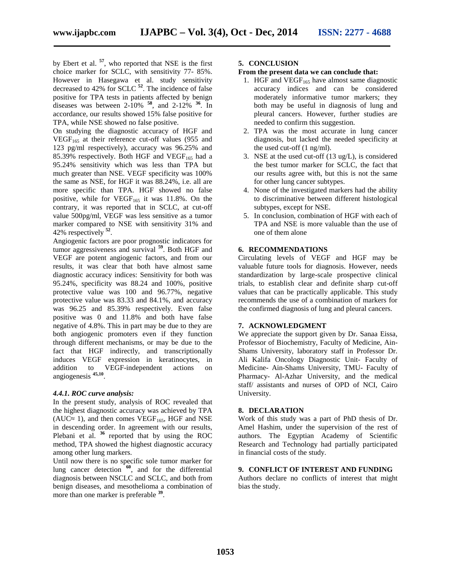by Ebert et al. **<sup>57</sup>** , who reported that NSE is the first choice marker for SCLC, with sensitivity 77- 85%. However in Hasegawa et al. study sensitivity decreased to 42% for SCLC **<sup>52</sup>** . The incidence of false positive for TPA tests in patients affected by benign diseases was between  $2-10\%$  <sup>58</sup>, and  $2-12\%$  <sup>36</sup>. In accordance, our results showed 15% false positive for TPA, while NSE showed no false positive.

On studying the diagnostic accuracy of HGF and  $VEGF<sub>165</sub>$  at their reference cut-off values (955 and 123 pg/ml respectively), accuracy was 96.25% and 85.39% respectively. Both HGF and VEGF $_{165}$  had a 95.24% sensitivity which was less than TPA but much greater than NSE. VEGF specificity was 100% the same as NSE, for HGF it was 88.24%, i.e. all are more specific than TPA. HGF showed no false positive, while for  $VEGF<sub>165</sub>$  it was 11.8%. On the contrary, it was reported that in SCLC, at cut-off value 500pg/ml, VEGF was less sensitive as a tumor marker compared to NSE with sensitivity 31% and 42% respectively **<sup>52</sup>** .

Angiogenic factors are poor prognostic indicators for tumor aggressiveness and survival **<sup>59</sup>**. Both HGF and VEGF are potent angiogenic factors, and from our results, it was clear that both have almost same diagnostic accuracy indices: Sensitivity for both was 95.24%, specificity was 88.24 and 100%, positive protective value was 100 and 96.77%, negative protective value was 83.33 and 84.1%, and accuracy was 96.25 and 85.39% respectively. Even false positive was 0 and 11.8% and both have false negative of 4.8%. This in part may be due to they are both angiogenic promoters even if they function through different mechanisms, or may be due to the fact that HGF indirectly, and transcriptionally induces VEGF expression in keratinocytes, in addition to VEGF-independent actions on angiogenesis **45,10** .

#### *4.4.1. ROC curve analysis:*

In the present study, analysis of ROC revealed that the highest diagnostic accuracy was achieved by TPA (AUC  $1$ ), and then comes VEGF<sub>165</sub>, HGF and NSE in descending order. In agreement with our results, Plebani et al. **<sup>36</sup>** reported that by using the ROC method, TPA showed the highest diagnostic accuracy among other lung markers.

Until now there is no specific sole tumor marker for lung cancer detection **<sup>60</sup>** , and for the differential diagnosis between NSCLC and SCLC, and both from benign diseases, and mesothelioma a combination of more than one marker is preferable **<sup>39</sup>** .

#### **5. CONCLUSION**

#### **From the present data we can conclude that:**

- 1. HGF and  $VEGF<sub>165</sub>$  have almost same diagnostic accuracy indices and can be considered moderately informative tumor markers; they both may be useful in diagnosis of lung and pleural cancers. However, further studies are needed to confirm this suggestion.
- 2. TPA was the most accurate in lung cancer diagnosis, but lacked the needed specificity at the used cut-off (1 ng/ml).
- 3. NSE at the used cut-off (13 ug/L), is considered the best tumor marker for SCLC, the fact that our results agree with, but this is not the same for other lung cancer subtypes.
- 4. None of the investigated markers had the ability to discriminative between different histological subtypes, except for NSE.
- 5. In conclusion, combination of HGF with each of TPA and NSE is more valuable than the use of one of them alone

#### **6. RECOMMENDATIONS**

Circulating levels of VEGF and HGF may be valuable future tools for diagnosis. However, needs standardization by large-scale prospective clinical trials, to establish clear and definite sharp cut-off values that can be practically applicable. This study recommends the use of a combination of markers for the confirmed diagnosis of lung and pleural cancers.

#### **7. ACKNOWLEDGMENT**

We appreciate the support given by Dr. Sanaa Eissa, Professor of Biochemistry, Faculty of Medicine, Ain- Shams University, laboratory staff in Professor Dr. Ali Kalifa Oncology Diagnostic Unit- Faculty of Medicine- Ain-Shams University, TMU- Faculty of Pharmacy- Al-Azhar University, and the medical staff/ assistants and nurses of OPD of NCI, Cairo University.

#### **8. DECLARATION**

Work of this study was a part of PhD thesis of Dr. Amel Hashim, under the supervision of the rest of authors. The Egyptian Academy of Scientific Research and Technology had partially participated in financial costs of the study.

#### **9. CONFLICT OF INTEREST AND FUNDING**

Authors declare no conflicts of interest that might bias the study.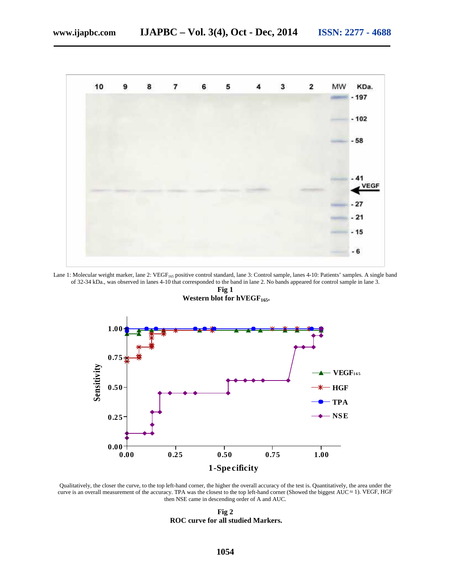

Lane 1: Molecular weight marker, lane 2: VEGF<sub>165</sub> positive control standard, lane 3: Control sample, lanes 4-10: Patients' samples. A single band of 32-34 kDa., was observed in lanes 4-10 that corresponded to the band in lane 2. No bands appeared for control sample in lane 3.



**Fig 1 Western blot for hVEGF165.**

Qualitatively, the closer the curve, to the top left-hand corner, the higher the overall accuracy of the test is. Quantitatively, the area under the curve is an overall measurement of the accuracy. TPA was the closest to the top left-hand corner (Showed the biggest AUC  $\;$  1). VEGF, HGF then NSE came in descending order of A and AUC.

**Fig 2 ROC curve for all studied Markers.**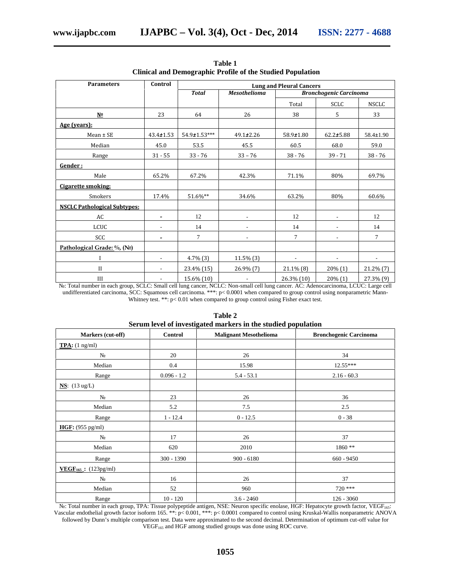| <b>Parameters</b>                   | Control                  |                    | <b>Lung and Pleural Cancers</b> |                               |                 |                          |  |
|-------------------------------------|--------------------------|--------------------|---------------------------------|-------------------------------|-----------------|--------------------------|--|
|                                     |                          | <b>Total</b>       | <b>Mesothelioma</b>             | <b>Bronchogenic Carcinoma</b> |                 |                          |  |
|                                     |                          |                    |                                 | Total                         | SCLC            | NSCLC                    |  |
| $N^{\Omega}$                        | 23                       | 64                 | 26                              | 38                            | 5               | 33                       |  |
| Age (years):                        |                          |                    |                                 |                               |                 |                          |  |
| $Mean \pm SE$                       | $43.4 \pm 1.53$          | $54.9 \pm 1.53***$ | $49.1 \pm 2.26$                 | $58.9 \pm 1.80$               | $62.2 \pm 5.88$ | $58.4 \pm 1.90$          |  |
| Median                              | 45.0                     | 53.5               | 45.5                            | 60.5                          | 68.0            | 59.0                     |  |
| Range                               | $31 - 55$                | $33 - 76$          | $33 - 76$                       | $38 - 76$                     | $39 - 71$       | $38 - 76$                |  |
| Gender:                             |                          |                    |                                 |                               |                 |                          |  |
| Male                                | 65.2%                    | 67.2%              | 42.3%                           | 71.1%                         | 80%             | 69.7%                    |  |
| <b>Cigarette smoking:</b>           |                          |                    |                                 |                               |                 |                          |  |
| Smokers                             | 17.4%                    | 51.6%**            | 34.6%                           | 63.2%                         | 80%             | 60.6%                    |  |
| <b>NSCLC Pathological Subtypes:</b> |                          |                    |                                 |                               |                 |                          |  |
| AC                                  | -                        | 12                 |                                 | 12                            |                 | 12                       |  |
| LCUC                                |                          | 14                 |                                 | 14                            |                 | 14                       |  |
| SCC                                 | -                        | $\tau$             | $\overline{a}$                  | $\tau$                        | $\blacksquare$  | 7                        |  |
| Pathological Grade: %, (No)         |                          |                    |                                 |                               |                 |                          |  |
|                                     | $\overline{\phantom{a}}$ | $4.7\%$ $(3)$      | $11.5\%$ (3)                    | $\overline{\phantom{a}}$      |                 | $\overline{\phantom{a}}$ |  |
| $_{\rm II}$                         | $\overline{a}$           | 23.4% (15)         | $26.9\%$ $(7)$                  | 21.1% (8)                     | 20% (1)         | 21.2% (7)                |  |
| Ш                                   | $\overline{\phantom{a}}$ | 15.6% (10)         |                                 | 26.3% (10)                    | 20% (1)         | 27.3% (9)                |  |

**Table 1 Clinical and Demographic Profile of the Studied Population**

15.6% (10) - 26.3% (10) 20% (1) 27.3% (9)<br>Total number in each group, SCLC: Small cell lung cancer, NCLC: Non-small cell lung cancer. AC: Adenocarcinoma, LCUC: Large cell undifferentiated carcinoma, SCC: Squamous cell carcinoma. \*\*\*: p< 0.0001 when compared to group control using nonparametric Mann- Whitney test. \*\*: p< 0.01 when compared to group control using Fisher exact test.

| Markers (cut-off)                         | Control       | <b>Malignant Mesothelioma</b> | <b>Bronchogenic Carcinoma</b> |
|-------------------------------------------|---------------|-------------------------------|-------------------------------|
| $TPA: (1 ng/ml)$                          |               |                               |                               |
|                                           | 20            | 26                            | 34                            |
| Median                                    | 0.4           | 15.98                         | 12.55***                      |
| Range                                     | $0.096 - 1.2$ | $5.4 - 53.1$                  | $2.16 - 60.3$                 |
| <b>NS</b> : $(13 \text{ ug/L})$           |               |                               |                               |
|                                           | 23            | 26                            | 36                            |
| Median                                    | 5.2           | 7.5                           | 2.5                           |
| Range                                     | $1 - 12.4$    | $0 - 12.5$                    | $0 - 38$                      |
| HGF: (955 pg/ml)                          |               |                               |                               |
|                                           | 17            | 26                            | 37                            |
| Median                                    | 620           | 2010                          | 1860 **                       |
| Range                                     | $300 - 1390$  | $900 - 6180$                  | $660 - 9450$                  |
| <b>VEGF</b> <sub>165</sub> : $(123pg/ml)$ |               |                               |                               |
|                                           | 16            | 26                            | 37                            |
| Median                                    | 52            | 960                           | $720$ ***                     |
| Range                                     | $10 - 120$    | $3.6 - 2460$                  | $126 - 3060$                  |

**Table 2 Serum level of investigated markers in the studied population**

: Total number in each group, TPA: Tissue polypeptide antigen, NSE: Neuron specific enolase, HGF: Hepatocyte growth factor, VEGF<sub>165</sub>: Vascular endothelial growth factor isoform 165. \*\*: p< 0.001, \*\*\*: p< 0.0001 compared to control using Kruskal-Wallis nonparametric ANOVA followed by Dunn's multiple comparison test. Data were approximated to the second decimal. Determination of optimum cut-off value for VEGF<sub>165</sub> and HGF among studied groups was done using ROC curve.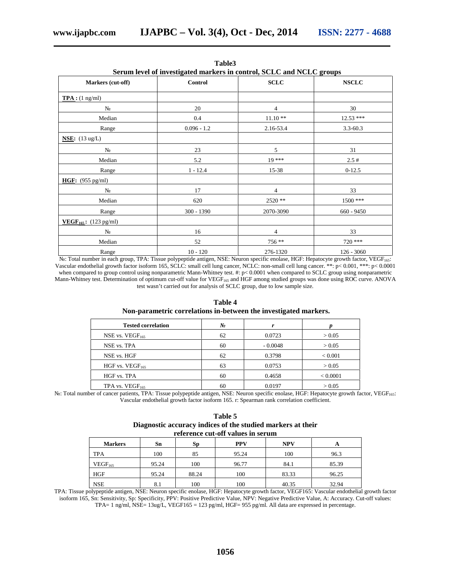| Serum level of investigated markers in control, SCLC and NCLC groups |                |                |              |  |
|----------------------------------------------------------------------|----------------|----------------|--------------|--|
| Markers (cut-off)                                                    | <b>Control</b> | <b>SCLC</b>    | <b>NSCLC</b> |  |
| $TPA$ : (1 ng/ml)                                                    |                |                |              |  |
|                                                                      | 20             | $\overline{4}$ | 30           |  |
| Median                                                               | 0.4            | $11.10**$      | $12.53$ ***  |  |
| Range                                                                | $0.096 - 1.2$  | 2.16-53.4      | $3.3 - 60.3$ |  |
| <b>NSE:</b> $(13 \text{ ug/L})$                                      |                |                |              |  |
|                                                                      | 23             | 5              | 31           |  |
| Median                                                               | 5.2            | $19***$        | 2.5#         |  |
| Range                                                                | $1 - 12.4$     | 15-38          | $0-12.5$     |  |
| HGF: $(955 \text{ pg/ml})$                                           |                |                |              |  |
|                                                                      | 17             | $\overline{4}$ | 33           |  |
| Median                                                               | 620            | $2520**$       | 1500 ***     |  |
| Range                                                                | $300 - 1390$   | 2070-3090      | $660 - 9450$ |  |
| <b>VEGF</b> <sub>165</sub> : $(123 \text{ pg/ml})$                   |                |                |              |  |
|                                                                      | 16             | $\overline{4}$ | 33           |  |
| Median                                                               | 52             | 756 **         | $720$ ***    |  |
| Range                                                                | $10 - 120$     | 276-1320       | $126 - 3060$ |  |

**Table3 Serum level of investigated markers in control, SCLC and NCLC groups**

№: Total number in each group, TPA: Tissue polypeptide antigen, NSE: Neuron specific enolase, HGF: Hepatocyte growth factor, VEGF165: Vascular endothelial growth factor isoform 165, SCLC: small cell lung cancer, NCLC: non-small cell lung cancer. \*\*: p< 0.001, \*\*\*: p< 0.0001 when compared to group control using nonparametric Mann-Whitney test. #: p< 0.0001 when compared to SCLC group using nonparametric Mann-Whitney test. Determination of optimum cut-off value for VEGF<sub>165</sub> and HGF among studied groups was done using ROC curve. ANOVA test wasn't carried out for analysis of SCLC group, due to low sample size.

|                           | Non-parametric correlations in-between the investigated markers. |           |                |  |  |
|---------------------------|------------------------------------------------------------------|-----------|----------------|--|--|
| <b>Tested correlation</b> |                                                                  |           |                |  |  |
| NSE vs. $VEGF165$         | 62                                                               | 0.0723    | > 0.05         |  |  |
| NSE vs. TPA               | 60                                                               | $-0.0048$ | > 0.05         |  |  |
| NSE vs. HGF               | 62                                                               | 0.3798    | ${}_{< 0.001}$ |  |  |
| HGF vs. $VEGF165$         | 63                                                               | 0.0753    | > 0.05         |  |  |

HGF vs. TPA 60 0.4658 < 0.0001

**Table 4**

TPA vs. VEGF<sub>165</sub>  $\vert$  60  $\vert$  0.0197  $\vert$  > 0.05  $\vert$ : Total number of cancer patients, TPA: Tissue polypeptide antigen, NSE: Neuron specific enolase, HGF: Hepatocyte growth factor, VEGF<sub>165</sub>: Vascular endothelial growth factor isoform 165. r: Spearman rank correlation coefficient.

| Table 5                                                     |
|-------------------------------------------------------------|
| Diagnostic accuracy indices of the studied markers at their |
| reference cut-off values in serum                           |

| <b>Markers</b>      | Sn    | Sp    | <b>PPV</b> | <b>NPV</b> | A     |  |
|---------------------|-------|-------|------------|------------|-------|--|
| <b>TPA</b>          | 100   | 85    | 95.24      | 100        | 96.3  |  |
| VEGF <sub>165</sub> | 95.24 | 100   | 96.77      | 84.1       | 85.39 |  |
| <b>HGF</b>          | 95.24 | 88.24 | 100        | 83.33      | 96.25 |  |
| <b>NSE</b>          | 8.1   | 100   | 100        | 40.35      | 32.94 |  |

TPA: Tissue polypeptide antigen, NSE: Neuron specific enolase, HGF: Hepatocyte growth factor, VEGF165: Vascular endothelial growth factor isoform 165, Sn: Sensitivity, Sp: Specificity, PPV: Positive Predictive Value, NPV: Negative Predictive Value, A: Accuracy. Cut-off values: TPA= 1 ng/ml, NSE= 13ug/L, VEGF165 = 123 pg/ml, HGF= 955 pg/ml. All data are expressed in percentage.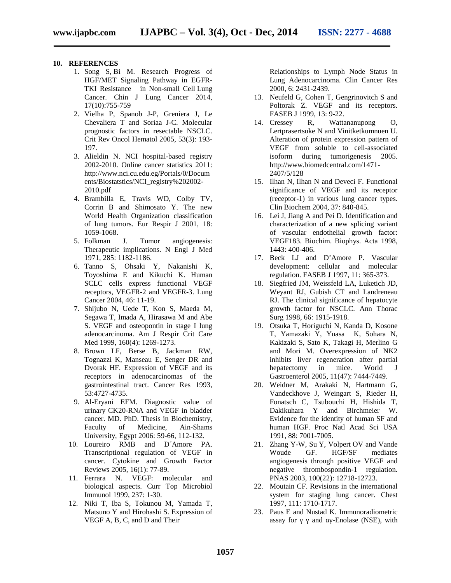#### **10. REFERENCES**

- 1. Song S, Bi M. Research Progress of HGF/MET Signaling Pathway in EGFR- TKI Resistance in Non-small Cell Lung Cancer. Chin J Lung Cancer 2014, 17(10):755-759
- 2. Vielha P, Spanob J-P, Greniera J, Le Chevaliera T and Soriaa J-C. Molecular prognostic factors in resectable NSCLC. Crit Rev Oncol Hematol 2005, 53(3): 193- 197.
- 3. Alieldin N. NCI hospital-based registry 2002-2010. Online cancer statistics 2011: http://www.nci.cu.edu.eg/Portals/0/Docum ents/Biostatstics/NCI\_registry%202002- 2010.pdf
- 4. Brambilla E, Travis WD, Colby TV, Corrin B and Shimosato Y. The new World Health Organization classification of lung tumors. Eur Respir J 2001, 18: 1059-1068.
- 5. Folkman J. Tumor angiogenesis: Therapeutic implications. N Engl J Med 1971, 285: 1182-1186.
- 6. Tanno S, Ohsaki Y, Nakanishi K, Toyoshima E and Kikuchi K. Human SCLC cells express functional VEGF receptors, VEGFR-2 and VEGFR-3. Lung Cancer 2004, 46: 11-19.
- 7. Shijubo N, Uede T, Kon S, Maeda M, Segawa T, Imada A, Hirasawa M and Abe S. VEGF and osteopontin in stage I lung adenocarcinoma. Am J Respir Crit Care Med 1999, 160(4): 1269-1273.
- 8. Brown LF, Berse B, Jackman RW, Tognazzi K, Manseau E, Senger DR and Dvorak HF. Expression of VEGF and its receptors in adenocarcinomas of the gastrointestinal tract. Cancer Res 1993, 53:4727-4735.
- 9. Al-Eryani EFM. Diagnostic value of urinary CK20-RNA and VEGF in bladder cancer. MD. PhD. Thesis in Biochemistry, Faculty of Medicine, Ain-Shams University, Egypt 2006: 59-66, 112-132.
- 10. Loureiro RMB and D´Amore PA. Transcriptional regulation of VEGF in cancer. Cytokine and Growth Factor Reviews 2005, 16(1): 77-89.
- 11. Ferrara N. VEGF: molecular and biological aspects. Curr Top Microbiol Immunol 1999, 237: 1-30.
- 12. Niki T, Iba S, Tokunou M, Yamada T, Matsuno Y and Hirohashi S. Expression of VEGF A, B, C, and D and Their

Relationships to Lymph Node Status in Lung Adenocarcinoma. Clin Cancer Res 2000, 6: 2431-2439.

- 13. Neufeld G, Cohen T, Gengrinovitch S and Poltorak Z. VEGF and its receptors. FASEB J 1999, 13: 9-22.
- 14. Cressey R, Wattananupong O, Lertprasertsuke N and Vinitketkumnuen U. Alteration of protein expression pattern of VEGF from soluble to cell-associated isoform during tumorigenesis 2005. http://www.biomedcentral.com/1471- 2407/5/128
- 15. Ilhan N, Ilhan N and Deveci F. Functional significance of VEGF and its receptor (receptor-1) in various lung cancer types. Clin Biochem 2004, 37: 840-845.
- 16. Lei J, Jiang A and Pei D. Identification and characterization of a new splicing variant of vascular endothelial growth factor: VEGF183. Biochim. Biophys. Acta 1998, 1443: 400-406.
- 17. Beck LJ and D'Amore P. Vascular development: cellular and molecular regulation. FASEB J 1997, 11: 365-373.
- 18. Siegfried JM, Weissfeld LA, Luketich JD, Weyant RJ, Gubish CT and Landreneau RJ. The clinical significance of hepatocyte growth factor for NSCLC. Ann Thorac Surg 1998, 66: 1915-1918.
- 19. Otsuka T, Horiguchi N, Kanda D, Kosone T, Yamazaki Y, Yuasa K, Sohara N, Kakizaki S, Sato K, Takagi H, Merlino G and Mori M. Overexpression of NK2 inhibits liver regeneration after partial<br>hepatectomy in mice. World J hepatectomy in mice. World J Gastroenterol 2005, 11(47): 7444-7449.
- 20. Weidner M, Arakaki N, Hartmann G, Vandeckhove J, Weingart S, Rieder H, Fonatsch C, Tsubouchi H, Hishida T, Dakikuhara Y and Birchmeier W. Evidence for the identity of human SF and human HGF. Proc Natl Acad Sci USA 1991, 88: 7001-7005.
- 21. Zhang Y-W, Su Y, Volpert OV and Vande Woude GF. HGF/SF mediates angiogenesis through positive VEGF and negative thrombospondin-1 regulation. PNAS 2003, 100(22): 12718-12723.
- 22. Moutain CF. Revisions in the international system for staging lung cancer. Chest 1997, 111: 1710-1717.
- 23. Paus E and Nustad K. Immunoradiometric assay for and -Enolase (NSE), with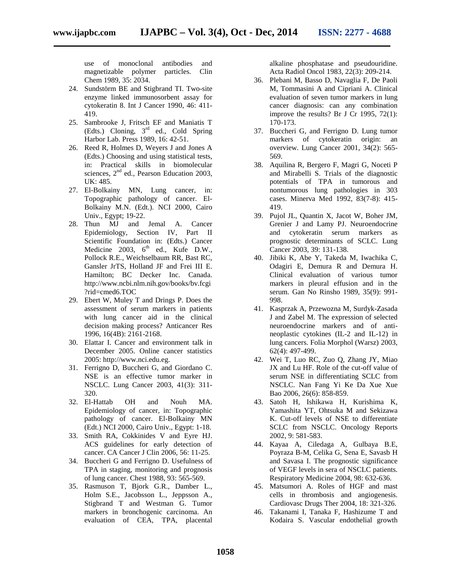use of monoclonal antibodies and magnetizable polymer particles. Clin Chem 1989, 35: 2034.

- 24. Sundstörm BE and Stigbrand TI. Two-site enzyme linked immunosorbent assay for cytokeratin 8. Int J Cancer 1990, 46: 411- 419.
- 25. Sambrooke J, Fritsch EF and Maniatis T (Edts.) Cloning, 3rd ed., Cold Spring Harbor Lab. Press 1989, 16: 42-51.
- 26. Reed R, Holmes D, Weyers J and Jones A (Edts.) Choosing and using statistical tests, in: Practical skills in biomolecular sciences,  $2<sup>nd</sup>$  ed., Pearson Education 2003, UK: 485.
- 27. El-Bolkainy MN, Lung cancer, in: Topographic pathology of cancer. El- Bolkainy M.N. (Edt.). NCI 2000, Cairo Univ., Egypt; 19-22.
- 28. Thun MJ and Jemal A. Cancer Epidemiology, Section IV, Part II Scientific Foundation in: (Edts.) Cancer Medicine 2003,  $6<sup>th</sup>$  ed., Kufe D.W., Pollock R.E., Weichselbaum RR, Bast RC, Gansler JrTS, Holland JF and Frei III E. Hamilton; BC Decker Inc. Canada. http://www.ncbi.nlm.nih.gov/books/bv.fcgi ?rid=cmed6.TOC
- 29. Ebert W, Muley T and Drings P. Does the assessment of serum markers in patients with lung cancer aid in the clinical decision making process? Anticancer Res 1996, 16(4B): 2161-2168.
- 30. Elattar I. Cancer and environment talk in December 2005. Online cancer statistics 2005: http://www.nci.edu.eg.
- 31. Ferrigno D, Buccheri G, and Giordano C. NSE is an effective tumor marker in NSCLC. Lung Cancer 2003, 41(3): 311- 320.
- 32. El-Hattab OH and Nouh MA. Epidemiology of cancer, in: Topographic pathology of cancer. El-Bolkainy MN (Edt.) NCI 2000, Cairo Univ., Egypt: 1-18.
- 33. Smith RA, Cokkinides V and Eyre HJ. ACS guidelines for early detection of cancer. CA Cancer J Clin 2006, 56: 11-25.
- 34. Buccheri G and Ferrigno D. Usefulness of TPA in staging, monitoring and prognosis of lung cancer. Chest 1988, 93: 565-569.
- 35. Rasmuson T, Bjork G.R., Damber L., Holm S.E., Jacobsson L., Jeppsson A., Stigbrand T and Westman G. Tumor markers in bronchogenic carcinoma. An evaluation of CEA, TPA, placental

alkaline phosphatase and pseudouridine. Acta Radiol Oncol 1983, 22(3): 209-214.

- 36. Plebani M, Basso D, Navaglia F, De Paoli M, Tommasini A and Cipriani A. Clinical evaluation of seven tumor markers in lung cancer diagnosis: can any combination improve the results? Br J Cr 1995, 72(1): 170-173.
- 37. Buccheri G, and Ferrigno D. Lung tumor markers of cytokeratin origin: an overview. Lung Cancer 2001, 34(2): 565- 569.
- 38. Aquilina R, Bergero F, Magri G, Noceti P and Mirabelli S. Trials of the diagnostic potentials of TPA in tumorous and nontumorous lung pathologies in 303 cases. Minerva Med 1992, 83(7-8): 415- 419.
- 39. Pujol JL, Quantin X, Jacot W, Boher JM, Grenier J and Lamy PJ. Neuroendocrine and cytokeratin serum markers as prognostic determinants of SCLC. Lung Cancer 2003, 39: 131-138.
- 40. Jibiki K, Abe Y, Takeda M, Iwachika C, Odagiri E, Demura R and Demura H. Clinical evaluation of various tumor markers in pleural effusion and in the serum. Gan No Rinsho 1989, 35(9): 991- 998.
- 41. Kasprzak A, Przewozna M, Surdyk-Zasada J and Zabel M. The expression of selected neuroendocrine markers and of anti neoplastic cytokines (IL-2 and IL-12) in lung cancers. Folia Morphol (Warsz) 2003, 62(4): 497-499.
- 42. Wei T, Luo RC, Zuo Q, Zhang JY, Miao JX and Lu HF. Role of the cut-off value of serum NSE in differentiating SCLC from NSCLC. Nan Fang Yi Ke Da Xue Xue Bao 2006, 26(6): 858-859.
- 43. Satoh H, Ishikawa H, Kurishima K, Yamashita YT, Ohtsuka M and Sekizawa K. Cut-off levels of NSE to differentiate SCLC from NSCLC. Oncology Reports 2002, 9: 581-583.
- 44. Kayaa A, Ciledaga A, Gulbaya B.E, Poyraza B-M, Celika G, Sena E, Savasb H and Savasa I. The prognostic significance of VEGF levels in sera of NSCLC patients. Respiratory Medicine 2004, 98: 632-636.
- 45. Matsumori A. Roles of HGF and mast cells in thrombosis and angiogenesis. Cardiovasc Drugs Ther 2004, 18: 321-326.
- 46. Takanami I, Tanaka F, Hashizume T and Kodaira S. Vascular endothelial growth